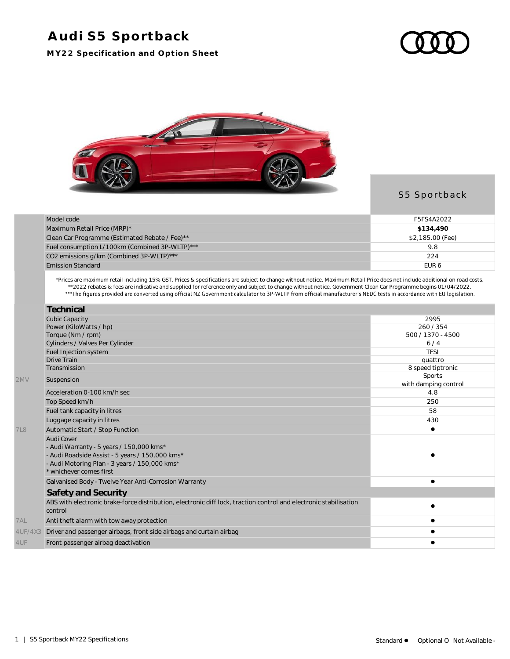## **Audi S5 Sportback**

**MY22 Specification and Option Sheet**





## S5 Sportback

| Model code                                     | F5FS4A2022       |
|------------------------------------------------|------------------|
| Maximum Retail Price (MRP)*                    | \$134,490        |
| Clean Car Programme (Estimated Rebate / Fee)** | \$2,185.00 (Fee) |
| Fuel consumption L/100km (Combined 3P-WLTP)*** | 9.8              |
| CO2 emissions g/km (Combined 3P-WLTP)***       | 224              |
| <b>Emission Standard</b>                       | EUR <sub>6</sub> |

\*Prices are maximum retail including 15% GST. Prices & specifications are subject to change without notice. Maximum Retail Price does not include additional on road costs. \*\*2022 rebates & fees are indicative and supplied for reference only and subject to change without notice. Government Clean Car Programme begins 01/04/2022.

|            | Technical                                                                                                                    |                                |
|------------|------------------------------------------------------------------------------------------------------------------------------|--------------------------------|
|            | <b>Cubic Capacity</b>                                                                                                        | 2995                           |
|            | Power (KiloWatts / hp)                                                                                                       | 260/354                        |
|            | Torque (Nm / rpm)                                                                                                            | 500 / 1370 - 4500              |
|            | Cylinders / Valves Per Cylinder                                                                                              | 6/4                            |
|            | Fuel Injection system                                                                                                        | <b>TFSI</b>                    |
|            | <b>Drive Train</b>                                                                                                           | quattro                        |
|            | Transmission                                                                                                                 | 8 speed tiptronic              |
| 2MV        | Suspension                                                                                                                   | Sports<br>with damping control |
|            | Acceleration 0-100 km/h sec                                                                                                  | 4.8                            |
|            | Top Speed km/h                                                                                                               | 250                            |
|            | Fuel tank capacity in litres                                                                                                 | 58                             |
|            | Luggage capacity in litres                                                                                                   | 430                            |
| <b>7L8</b> | Automatic Start / Stop Function                                                                                              |                                |
|            | Audi Cover                                                                                                                   |                                |
|            | - Audi Warranty - 5 years / 150,000 kms*                                                                                     |                                |
|            | - Audi Roadside Assist - 5 years / 150,000 kms*                                                                              |                                |
|            | - Audi Motoring Plan - 3 years / 150,000 kms*                                                                                |                                |
|            | * whichever comes first                                                                                                      |                                |
|            | Galvanised Body - Twelve Year Anti-Corrosion Warranty                                                                        |                                |
|            | Safety and Security                                                                                                          |                                |
|            | ABS with electronic brake-force distribution, electronic diff lock, traction control and electronic stabilisation<br>control |                                |
| 7AL        | Anti theft alarm with tow away protection                                                                                    |                                |
| 4UF/4X3    | Driver and passenger airbags, front side airbags and curtain airbag                                                          |                                |
| 4UF        | Front passenger airbag deactivation                                                                                          |                                |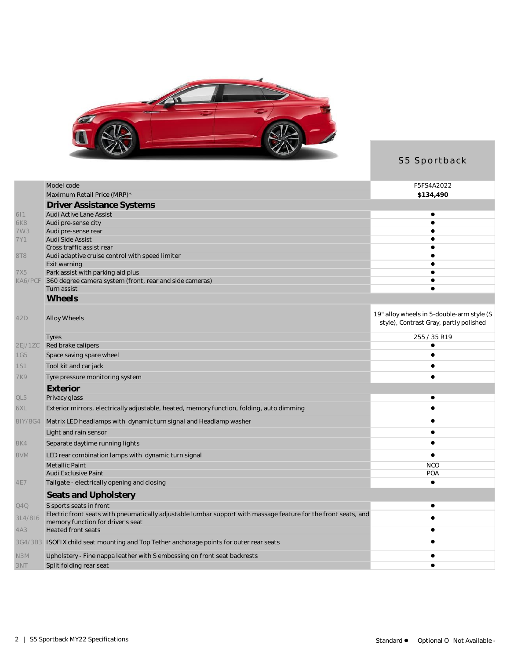

## S5 Sportback

|            | Model code                                                                                                      | F5FS4A2022                                                                          |
|------------|-----------------------------------------------------------------------------------------------------------------|-------------------------------------------------------------------------------------|
|            | Maximum Retail Price (MRP)*                                                                                     | \$134,490                                                                           |
|            | <b>Driver Assistance Systems</b>                                                                                |                                                                                     |
| 611        | Audi Active Lane Assist                                                                                         | ٠                                                                                   |
| 6K8<br>7W3 | Audi pre-sense city<br>Audi pre-sense rear                                                                      |                                                                                     |
| 7Y1        | Audi Side Assist                                                                                                |                                                                                     |
|            | Cross traffic assist rear                                                                                       |                                                                                     |
| 8T8        | Audi adaptive cruise control with speed limiter                                                                 |                                                                                     |
| 7X5        | Exit warning<br>Park assist with parking aid plus                                                               |                                                                                     |
| KA6/PCF    | 360 degree camera system (front, rear and side cameras)                                                         |                                                                                     |
|            | Turn assist                                                                                                     |                                                                                     |
|            | Wheels                                                                                                          |                                                                                     |
| 42D        | Alloy Wheels                                                                                                    | 19" alloy wheels in 5-double-arm style (S<br>style), Contrast Gray, partly polished |
|            | Tyres                                                                                                           | 255 / 35 R19                                                                        |
| 2EJ/1ZC    | Red brake calipers                                                                                              |                                                                                     |
| <b>1G5</b> | Space saving spare wheel                                                                                        | $\bullet$                                                                           |
| <b>1S1</b> | Tool kit and car jack                                                                                           |                                                                                     |
| <b>7K9</b> | Tyre pressure monitoring system                                                                                 |                                                                                     |
|            | Exterior                                                                                                        |                                                                                     |
| QL5        | Privacy glass                                                                                                   | ٠                                                                                   |
| 6XL        | Exterior mirrors, electrically adjustable, heated, memory function, folding, auto dimming                       |                                                                                     |
| 8IY/8G4    | Matrix LED headlamps with dynamic turn signal and Headlamp washer                                               |                                                                                     |
|            | Light and rain sensor                                                                                           |                                                                                     |
| 8K4        | Separate daytime running lights                                                                                 |                                                                                     |
| 8VM        | LED rear combination lamps with dynamic turn signal                                                             |                                                                                     |
|            | Metallic Paint                                                                                                  | <b>NCO</b>                                                                          |
| 4E7        | <b>Audi Exclusive Paint</b><br>Tailgate - electrically opening and closing                                      | POA<br>$\bullet$                                                                    |
|            | Seats and Upholstery                                                                                            |                                                                                     |
| Q4Q        | S sports seats in front                                                                                         | ٠                                                                                   |
| 3L4/8I6    | Electric front seats with pneumatically adjustable lumbar support with massage feature for the front seats, and |                                                                                     |
|            | memory function for driver's seat                                                                               |                                                                                     |
| 4A3        | <b>Heated front seats</b>                                                                                       |                                                                                     |
|            | 3G4/3B3 ISOFIX child seat mounting and Top Tether anchorage points for outer rear seats                         |                                                                                     |
| N3M        | Upholstery - Fine nappa leather with S embossing on front seat backrests                                        |                                                                                     |
| 3NT        | Split folding rear seat                                                                                         |                                                                                     |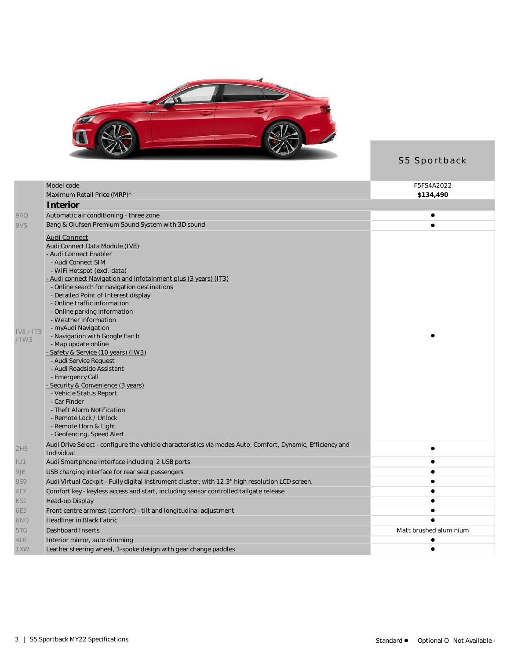

S5 Sportback

|                | Model code                                                                                                               | F5FS4A2022             |
|----------------|--------------------------------------------------------------------------------------------------------------------------|------------------------|
|                | Maximum Retail Price (MRP)*                                                                                              | \$134,490              |
|                | Interior                                                                                                                 |                        |
| 9AQ            | Automatic air conditioning - three zone                                                                                  | ٠                      |
| 9VS            | Bang & Olufsen Premium Sound System with 3D sound                                                                        |                        |
|                |                                                                                                                          |                        |
|                | <b>Audi Connect</b>                                                                                                      |                        |
|                | Audi Connect Data Module (IV8)<br>- Audi Connect Enabler                                                                 |                        |
|                | - Audi Connect SIM                                                                                                       |                        |
|                | - WiFi Hotspot (excl. data)                                                                                              |                        |
|                | - Audi connect Navigation and infotainment plus (3 years) (IT3)                                                          |                        |
|                | - Online search for navigation destinations                                                                              |                        |
|                | - Detailed Point of Interest display                                                                                     |                        |
|                | - Online traffic information                                                                                             |                        |
|                | - Online parking information                                                                                             |                        |
|                | - Weather information                                                                                                    |                        |
| <b>IV8/IT3</b> | - myAudi Navigation                                                                                                      |                        |
| $/$ IW3        | - Navigation with Google Earth<br>- Map update online                                                                    |                        |
|                | - Safety & Service (10 years) (IW3)                                                                                      |                        |
|                | - Audi Service Request                                                                                                   |                        |
|                | - Audi Roadside Assistant                                                                                                |                        |
|                | - Emergency Call                                                                                                         |                        |
|                | - Security & Convenience (3 years)                                                                                       |                        |
|                | - Vehicle Status Report                                                                                                  |                        |
|                | - Car Finder                                                                                                             |                        |
|                | - Theft Alarm Notification                                                                                               |                        |
|                | - Remote Lock / Unlock                                                                                                   |                        |
|                | - Remote Horn & Light                                                                                                    |                        |
|                | - Geofencing, Speed Alert                                                                                                |                        |
| 2H9            | Audi Drive Select - configure the vehicle characteristics via modes Auto, Comfort, Dynamic, Efficiency and<br>Individual | $\bullet$              |
| IU1            | Audi Smartphone Interface including 2 USB ports                                                                          |                        |
| 9JE            | USB charging interface for rear seat passengers                                                                          | $\bullet$              |
| 9S9            | Audi Virtual Cockpit - Fully digital instrument cluster, with 12.3" high resolution LCD screen.                          | $\bullet$              |
| 4F2            | Comfort key - keyless access and start, including sensor controlled tailgate release                                     | $\bullet$              |
| KS1            | Head-up Display                                                                                                          | $\bullet$              |
| 6E3            | Front centre armrest (comfort) - tilt and longitudinal adjustment                                                        | $\bullet$              |
| 6NQ            | <b>Headliner in Black Fabric</b>                                                                                         |                        |
| 5TG            | Dashboard Inserts                                                                                                        | Matt brushed aluminium |
| 4L6            | Interior mirror, auto dimming                                                                                            |                        |
| 1XW            | Leather steering wheel, 3-spoke design with gear change paddles                                                          |                        |